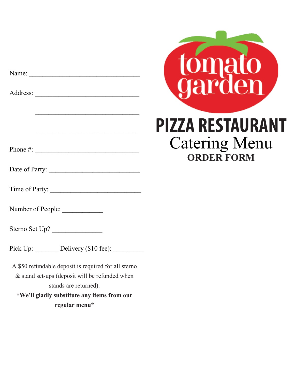Name:

Address: \_\_\_\_\_\_\_\_\_\_\_\_\_\_\_\_\_\_\_\_\_\_\_\_\_\_\_\_\_\_\_

Phone #: \_\_\_\_\_\_\_\_\_\_\_\_\_\_\_\_\_\_\_\_\_\_\_\_\_\_\_\_\_\_\_

Date of Party: \_\_\_\_\_\_\_\_\_\_\_\_\_\_\_\_\_\_\_\_\_\_\_\_\_\_\_

\_\_\_\_\_\_\_\_\_\_\_\_\_\_\_\_\_\_\_\_\_\_\_\_\_\_\_\_\_\_\_

 $\mathcal{L}_\mathcal{L}$ 

Time of Party: \_\_\_\_\_\_\_\_\_\_\_\_\_\_\_\_\_\_\_\_\_\_\_\_\_\_\_

Number of People: \_\_\_\_\_\_\_\_\_\_\_\_

Sterno Set Up?

Pick Up: Delivery (\$10 fee):

A \$50 refundable deposit is required for all sterno & stand set-ups (deposit will be refunded when stands are returned).

**\*We'll gladly substitute any items from our regular menu\***



**ORDER FORM**